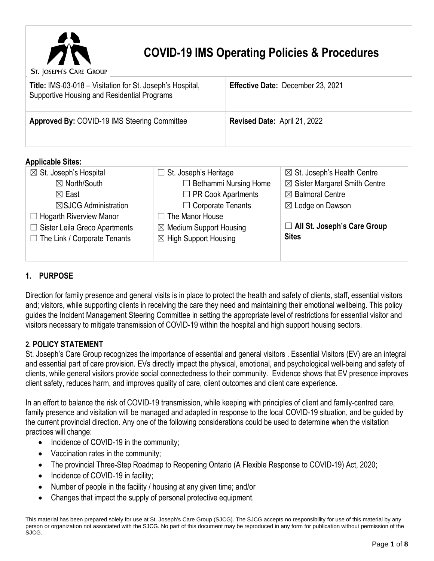

# **COVID-19 IMS Operating Policies & Procedures**

St. JOSEPH'S CARE GROUP

| <b>Title: IMS-03-018 - Visitation for St. Joseph's Hospital,</b><br>Supportive Housing and Residential Programs | Effective Date: December 23, 2021   |
|-----------------------------------------------------------------------------------------------------------------|-------------------------------------|
| <b>Approved By: COVID-19 IMS Steering Committee</b>                                                             | <b>Revised Date: April 21, 2022</b> |

### **Applicable Sites:**

| $\boxtimes$ St. Joseph's Hospital    | $\Box$ St. Joseph's Heritage       | $\boxtimes$ St. Joseph's Health Centre   |
|--------------------------------------|------------------------------------|------------------------------------------|
| $\boxtimes$ North/South              | $\Box$ Bethammi Nursing Home       | $\boxtimes$ Sister Margaret Smith Centre |
| $\boxtimes$ East                     | $\Box$ PR Cook Apartments          | $\boxtimes$ Balmoral Centre              |
| $\boxtimes$ SJCG Administration      | $\Box$ Corporate Tenants           | $\boxtimes$ Lodge on Dawson              |
| $\Box$ Hogarth Riverview Manor       | $\Box$ The Manor House             |                                          |
| $\Box$ Sister Leila Greco Apartments | $\boxtimes$ Medium Support Housing | □ All St. Joseph's Care Group            |
| $\Box$ The Link / Corporate Tenants  | $\boxtimes$ High Support Housing   | <b>Sites</b>                             |
|                                      |                                    |                                          |
|                                      |                                    |                                          |

## **1. PURPOSE**

Direction for family presence and general visits is in place to protect the health and safety of clients, staff, essential visitors and; visitors, while supporting clients in receiving the care they need and maintaining their emotional wellbeing. This policy guides the Incident Management Steering Committee in setting the appropriate level of restrictions for essential visitor and visitors necessary to mitigate transmission of COVID-19 within the hospital and high support housing sectors.

## **2. POLICY STATEMENT**

St. Joseph's Care Group recognizes the importance of essential and general visitors . Essential Visitors (EV) are an integral and essential part of care provision. EVs directly impact the physical, emotional, and psychological well-being and safety of clients, while general visitors provide social connectedness to their community. Evidence shows that EV presence improves client safety, reduces harm, and improves quality of care, client outcomes and client care experience.

In an effort to balance the risk of COVID-19 transmission, while keeping with principles of client and family-centred care, family presence and visitation will be managed and adapted in response to the local COVID-19 situation, and be guided by the current provincial direction. Any one of the following considerations could be used to determine when the visitation practices will change:

- Incidence of COVID-19 in the community;
- Vaccination rates in the community;
- The provincial Three-Step Roadmap to Reopening Ontario (A Flexible Response to COVID-19) Act, 2020;
- Incidence of COVID-19 in facility;
- Number of people in the facility / housing at any given time; and/or
- Changes that impact the supply of personal protective equipment.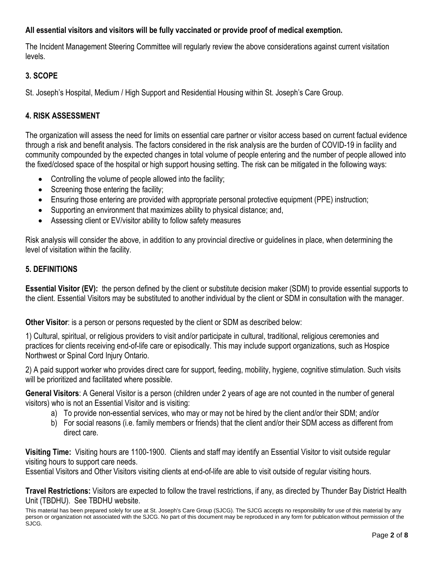## **All essential visitors and visitors will be fully vaccinated or provide proof of medical exemption.**

The Incident Management Steering Committee will regularly review the above considerations against current visitation levels.

## **3. SCOPE**

St. Joseph's Hospital, Medium / High Support and Residential Housing within St. Joseph's Care Group.

## **4. RISK ASSESSMENT**

The organization will assess the need for limits on essential care partner or visitor access based on current factual evidence through a risk and benefit analysis. The factors considered in the risk analysis are the burden of COVID-19 in facility and community compounded by the expected changes in total volume of people entering and the number of people allowed into the fixed/closed space of the hospital or high support housing setting. The risk can be mitigated in the following ways:

- Controlling the volume of people allowed into the facility;
- Screening those entering the facility;
- Ensuring those entering are provided with appropriate personal protective equipment (PPE) instruction;
- Supporting an environment that maximizes ability to physical distance; and,
- Assessing client or EV/visitor ability to follow safety measures

Risk analysis will consider the above, in addition to any provincial directive or guidelines in place, when determining the level of visitation within the facility.

## **5. DEFINITIONS**

**Essential Visitor (EV):** the person defined by the client or substitute decision maker (SDM) to provide essential supports to the client. Essential Visitors may be substituted to another individual by the client or SDM in consultation with the manager.

**Other Visitor**: is a person or persons requested by the client or SDM as described below:

1) Cultural, spiritual, or religious providers to visit and/or participate in cultural, traditional, religious ceremonies and practices for clients receiving end-of-life care or episodically. This may include support organizations, such as Hospice Northwest or Spinal Cord Injury Ontario.

2) A paid support worker who provides direct care for support, feeding, mobility, hygiene, cognitive stimulation. Such visits will be prioritized and facilitated where possible.

**General Visitors**: A General Visitor is a person (children under 2 years of age are not counted in the number of general visitors) who is not an Essential Visitor and is visiting:

- a) To provide non-essential services, who may or may not be hired by the client and/or their SDM; and/or
- b) For social reasons (i.e. family members or friends) that the client and/or their SDM access as different from direct care.

**Visiting Time:** Visiting hours are 1100-1900. Clients and staff may identify an Essential Visitor to visit outside regular visiting hours to support care needs.

Essential Visitors and Other Visitors visiting clients at end-of-life are able to visit outside of regular visiting hours.

**Travel Restrictions:** Visitors are expected to follow the travel restrictions, if any, as directed by Thunder Bay District Health Unit (TBDHU). See TBDHU website.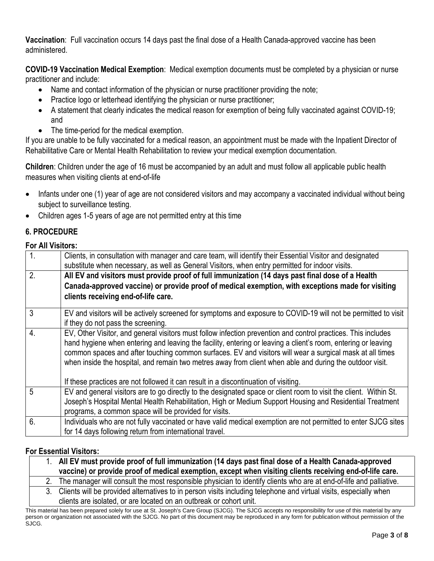**Vaccination**: Full vaccination occurs 14 days past the final dose of a Health Canada-approved vaccine has been administered.

**COVID-19 Vaccination Medical Exemption**: Medical exemption documents must be completed by a physician or nurse practitioner and include:

- Name and contact information of the physician or nurse practitioner providing the note;
- Practice logo or letterhead identifying the physician or nurse practitioner;
- A statement that clearly indicates the medical reason for exemption of being fully vaccinated against COVID-19; and
- The time-period for the medical exemption.

If you are unable to be fully vaccinated for a medical reason, an appointment must be made with the Inpatient Director of Rehabilitative Care or Mental Health Rehabilitation to review your medical exemption documentation.

**Children**: Children under the age of 16 must be accompanied by an adult and must follow all applicable public health measures when visiting clients at end-of-life

- Infants under one (1) year of age are not considered visitors and may accompany a vaccinated individual without being subject to surveillance testing.
- Children ages 1-5 years of age are not permitted entry at this time

## **6. PROCEDURE**

### **For All Visitors:**

| $\overline{1}$   | Clients, in consultation with manager and care team, will identify their Essential Visitor and designated<br>substitute when necessary, as well as General Visitors, when entry permitted for indoor visits.                                                                                                                                                                                                                                           |
|------------------|--------------------------------------------------------------------------------------------------------------------------------------------------------------------------------------------------------------------------------------------------------------------------------------------------------------------------------------------------------------------------------------------------------------------------------------------------------|
| 2.               | All EV and visitors must provide proof of full immunization (14 days past final dose of a Health                                                                                                                                                                                                                                                                                                                                                       |
|                  | Canada-approved vaccine) or provide proof of medical exemption, with exceptions made for visiting                                                                                                                                                                                                                                                                                                                                                      |
|                  | clients receiving end-of-life care.                                                                                                                                                                                                                                                                                                                                                                                                                    |
| 3                | EV and visitors will be actively screened for symptoms and exposure to COVID-19 will not be permitted to visit                                                                                                                                                                                                                                                                                                                                         |
|                  | if they do not pass the screening.                                                                                                                                                                                                                                                                                                                                                                                                                     |
| $\overline{4}$ . | EV, Other Visitor, and general visitors must follow infection prevention and control practices. This includes<br>hand hygiene when entering and leaving the facility, entering or leaving a client's room, entering or leaving<br>common spaces and after touching common surfaces. EV and visitors will wear a surgical mask at all times<br>when inside the hospital, and remain two metres away from client when able and during the outdoor visit. |
|                  | If these practices are not followed it can result in a discontinuation of visiting.                                                                                                                                                                                                                                                                                                                                                                    |
| 5                | EV and general visitors are to go directly to the designated space or client room to visit the client. Within St.<br>Joseph's Hospital Mental Health Rehabilitation, High or Medium Support Housing and Residential Treatment                                                                                                                                                                                                                          |
|                  | programs, a common space will be provided for visits.                                                                                                                                                                                                                                                                                                                                                                                                  |
| 6.               | Individuals who are not fully vaccinated or have valid medical exemption are not permitted to enter SJCG sites                                                                                                                                                                                                                                                                                                                                         |
|                  | for 14 days following return from international travel.                                                                                                                                                                                                                                                                                                                                                                                                |

### **For Essential Visitors:**

| All EV must provide proof of full immunization (14 days past final dose of a Health Canada-approved<br>vaccine) or provide proof of medical exemption, except when visiting clients receiving end-of-life care. |
|-----------------------------------------------------------------------------------------------------------------------------------------------------------------------------------------------------------------|
| The manager will consult the most responsible physician to identify clients who are at end-of-life and palliative.                                                                                              |
| Clients will be provided alternatives to in person visits including telephone and virtual visits especially when                                                                                                |

provided alternatives to in person visits including telephone and virtual visits, es clients are isolated, or are located on an outbreak or cohort unit.

This material has been prepared solely for use at St. Joseph's Care Group (SJCG). The SJCG accepts no responsibility for use of this material by any person or organization not associated with the SJCG. No part of this document may be reproduced in any form for publication without permission of the SJCG.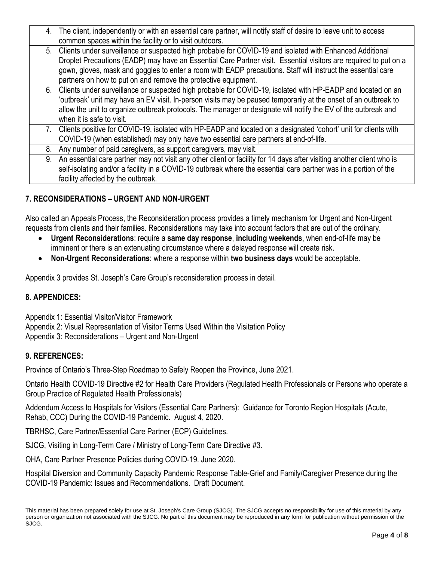|  | 4. The client, independently or with an essential care partner, will notify staff of desire to leave unit to access      |
|--|--------------------------------------------------------------------------------------------------------------------------|
|  | common spaces within the facility or to visit outdoors.                                                                  |
|  | 5. Clients under surveillance or suspected high probable for COVID-19 and isolated with Enhanced Additional              |
|  | Droplet Precautions (EADP) may have an Essential Care Partner visit. Essential visitors are required to put on a         |
|  | gown, gloves, mask and goggles to enter a room with EADP precautions. Staff will instruct the essential care             |
|  | partners on how to put on and remove the protective equipment.                                                           |
|  | 6. Clients under surveillance or suspected high probable for COVID-19, isolated with HP-EADP and located on an           |
|  | 'outbreak' unit may have an EV visit. In-person visits may be paused temporarily at the onset of an outbreak to          |
|  | allow the unit to organize outbreak protocols. The manager or designate will notify the EV of the outbreak and           |
|  | when it is safe to visit.                                                                                                |
|  | 7. Clients positive for COVID-19, isolated with HP-EADP and located on a designated 'cohort' unit for clients with       |
|  | COVID-19 (when established) may only have two essential care partners at end-of-life.                                    |
|  | 8. Any number of paid caregivers, as support caregivers, may visit.                                                      |
|  | 9. An essential care partner may not visit any other client or facility for 14 days after visiting another client who is |
|  | self-isolating and/or a facility in a COVID-19 outbreak where the essential care partner was in a portion of the         |
|  | facility affected by the outbreak.                                                                                       |

## **7. RECONSIDERATIONS – URGENT AND NON-URGENT**

Also called an Appeals Process, the Reconsideration process provides a timely mechanism for Urgent and Non-Urgent requests from clients and their families. Reconsiderations may take into account factors that are out of the ordinary.

- **Urgent Reconsiderations**: require a **same day response**, **including weekends**, when end-of-life may be imminent or there is an extenuating circumstance where a delayed response will create risk.
- **Non-Urgent Reconsiderations**: where a response within **two business days** would be acceptable.

Appendix 3 provides St. Joseph's Care Group's reconsideration process in detail.

## **8. APPENDICES:**

Appendix 1: Essential Visitor/Visitor Framework Appendix 2: Visual Representation of Visitor Terms Used Within the Visitation Policy Appendix 3: Reconsiderations – Urgent and Non-Urgent

### **9. REFERENCES:**

Province of Ontario's Three-Step Roadmap to Safely Reopen the Province, June 2021.

Ontario Health COVID-19 Directive #2 for Health Care Providers (Regulated Health Professionals or Persons who operate a Group Practice of Regulated Health Professionals)

Addendum Access to Hospitals for Visitors (Essential Care Partners): Guidance for Toronto Region Hospitals (Acute, Rehab, CCC) During the COVID-19 Pandemic. August 4, 2020.

TBRHSC, Care Partner/Essential Care Partner (ECP) Guidelines.

SJCG, Visiting in Long-Term Care / Ministry of Long-Term Care Directive #3.

OHA, Care Partner Presence Policies during COVID-19. June 2020.

Hospital Diversion and Community Capacity Pandemic Response Table-Grief and Family/Caregiver Presence during the COVID-19 Pandemic: Issues and Recommendations. Draft Document.

This material has been prepared solely for use at St. Joseph's Care Group (SJCG). The SJCG accepts no responsibility for use of this material by any person or organization not associated with the SJCG. No part of this document may be reproduced in any form for publication without permission of the SJCG.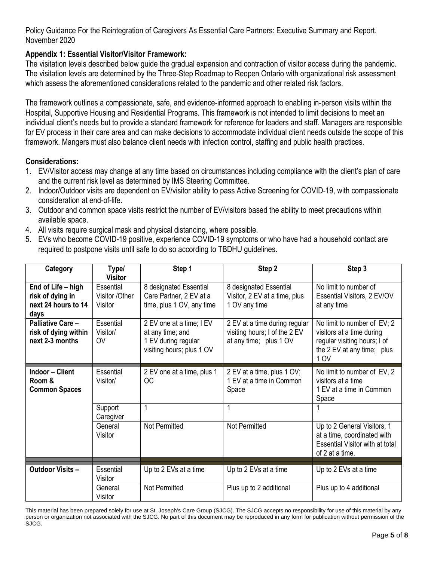Policy Guidance For the Reintegration of Caregivers As Essential Care Partners: Executive Summary and Report. November 2020

### **Appendix 1: Essential Visitor/Visitor Framework:**

The visitation levels described below guide the gradual expansion and contraction of visitor access during the pandemic. The visitation levels are determined by the Three-Step Roadmap to Reopen Ontario with organizational risk assessment which assess the aforementioned considerations related to the pandemic and other related risk factors.

The framework outlines a compassionate, safe, and evidence-informed approach to enabling in-person visits within the Hospital, Supportive Housing and Residential Programs. This framework is not intended to limit decisions to meet an individual client's needs but to provide a standard framework for reference for leaders and staff. Managers are responsible for EV process in their care area and can make decisions to accommodate individual client needs outside the scope of this framework. Mangers must also balance client needs with infection control, staffing and public health practices.

### **Considerations:**

- 1. EV/Visitor access may change at any time based on circumstances including compliance with the client's plan of care and the current risk level as determined by IMS Steering Committee.
- 2. Indoor/Outdoor visits are dependent on EV/visitor ability to pass Active Screening for COVID-19, with compassionate consideration at end-of-life.
- 3. Outdoor and common space visits restrict the number of EV/visitors based the ability to meet precautions within available space.
- 4. All visits require surgical mask and physical distancing, where possible.
- 5. EVs who become COVID-19 positive, experience COVID-19 symptoms or who have had a household contact are required to postpone visits until safe to do so according to TBDHU guidelines.

| Category                                                              | Type/<br><b>Visitor</b>                | Step 1                                                                                           | Step 2                                                                                   | Step 3                                                                                                                         |
|-----------------------------------------------------------------------|----------------------------------------|--------------------------------------------------------------------------------------------------|------------------------------------------------------------------------------------------|--------------------------------------------------------------------------------------------------------------------------------|
| End of Life - high<br>risk of dying in<br>next 24 hours to 14<br>days | Essential<br>Visitor /Other<br>Visitor | 8 designated Essential<br>Care Partner, 2 EV at a<br>time, plus 1 OV, any time                   | 8 designated Essential<br>Visitor, 2 EV at a time, plus<br>1 OV any time                 | No limit to number of<br>Essential Visitors, 2 EV/OV<br>at any time                                                            |
| Palliative Care-<br>risk of dying within<br>next 2-3 months           | Essential<br>Visitor/<br><b>OV</b>     | 2 EV one at a time; I EV<br>at any time; and<br>1 EV during regular<br>visiting hours; plus 1 OV | 2 EV at a time during regular<br>visiting hours; I of the 2 EV<br>at any time; plus 1 OV | No limit to number of EV; 2<br>visitors at a time during<br>regular visiting hours; I of<br>the 2 EV at any time; plus<br>1 OV |
| <b>Indoor - Client</b><br>Room &<br><b>Common Spaces</b>              | Essential<br>Visitor/                  | 2 EV one at a time, plus 1<br><b>OC</b>                                                          | 2 EV at a time, plus 1 OV;<br>1 EV at a time in Common<br>Space                          | No limit to number of EV, 2<br>visitors at a time<br>1 EV at a time in Common<br>Space                                         |
|                                                                       | Support<br>Caregiver                   | 1                                                                                                | 1                                                                                        |                                                                                                                                |
|                                                                       | General<br>Visitor                     | Not Permitted                                                                                    | Not Permitted                                                                            | Up to 2 General Visitors, 1<br>at a time, coordinated with<br><b>Essential Visitor with at total</b><br>of 2 at a time.        |
|                                                                       |                                        |                                                                                                  |                                                                                          |                                                                                                                                |
| <b>Outdoor Visits -</b>                                               | Essential<br>Visitor                   | Up to 2 EVs at a time                                                                            | Up to 2 EVs at a time                                                                    | Up to 2 EVs at a time                                                                                                          |
|                                                                       | General<br>Visitor                     | <b>Not Permitted</b>                                                                             | Plus up to 2 additional                                                                  | Plus up to 4 additional                                                                                                        |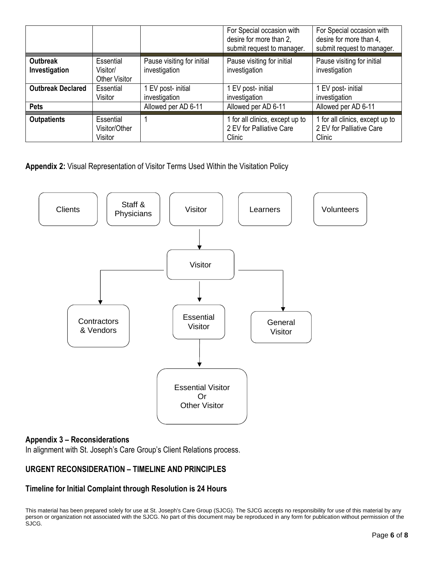|                           |                                               |                                             | For Special occasion with<br>desire for more than 2,<br>submit request to manager. | For Special occasion with<br>desire for more than 4,<br>submit request to manager. |
|---------------------------|-----------------------------------------------|---------------------------------------------|------------------------------------------------------------------------------------|------------------------------------------------------------------------------------|
| Outbreak<br>Investigation | Essential<br>Visitor/<br><b>Other Visitor</b> | Pause visiting for initial<br>investigation | Pause visiting for initial<br>investigation                                        | Pause visiting for initial<br>investigation                                        |
| <b>Outbreak Declared</b>  | Essential<br>Visitor                          | 1 EV post- initial<br>investigation         | EV post- initial<br>investigation                                                  | 1 EV post- initial<br>investigation                                                |
| <b>Pets</b>               |                                               | Allowed per AD 6-11                         | Allowed per AD 6-11                                                                | Allowed per AD 6-11                                                                |
| <b>Outpatients</b>        | Essential<br>Visitor/Other<br>Visitor         |                                             | 1 for all clinics, except up to<br>2 EV for Palliative Care<br>Clinic              | 1 for all clinics, except up to<br>2 EV for Palliative Care<br>Clinic              |

**Appendix 2:** Visual Representation of Visitor Terms Used Within the Visitation Policy



### **Appendix 3 – Reconsiderations**

In alignment with St. Joseph's Care Group's Client Relations process.

## **URGENT RECONSIDERATION – TIMELINE AND PRINCIPLES**

## **Timeline for Initial Complaint through Resolution is 24 Hours**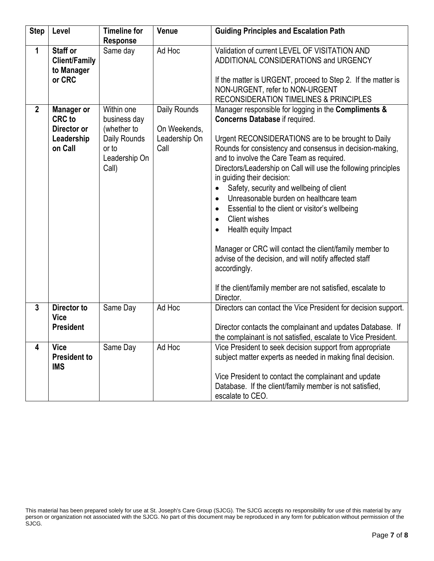| <b>Step</b>    | Level                                                                      | <b>Timeline for</b>                                                                          | Venue                                                 | <b>Guiding Principles and Escalation Path</b>                                                                                                                                                                                                                                                                                                                                                                                                                                                                                                                                                                                                                                                                                                                                                                            |
|----------------|----------------------------------------------------------------------------|----------------------------------------------------------------------------------------------|-------------------------------------------------------|--------------------------------------------------------------------------------------------------------------------------------------------------------------------------------------------------------------------------------------------------------------------------------------------------------------------------------------------------------------------------------------------------------------------------------------------------------------------------------------------------------------------------------------------------------------------------------------------------------------------------------------------------------------------------------------------------------------------------------------------------------------------------------------------------------------------------|
| 1              | <b>Staff or</b>                                                            | <b>Response</b><br>Same day                                                                  | Ad Hoc                                                | Validation of current LEVEL OF VISITATION AND                                                                                                                                                                                                                                                                                                                                                                                                                                                                                                                                                                                                                                                                                                                                                                            |
|                | <b>Client/Family</b><br>to Manager<br>or CRC                               |                                                                                              |                                                       | ADDITIONAL CONSIDERATIONS and URGENCY<br>If the matter is URGENT, proceed to Step 2. If the matter is                                                                                                                                                                                                                                                                                                                                                                                                                                                                                                                                                                                                                                                                                                                    |
|                |                                                                            |                                                                                              |                                                       | NON-URGENT, refer to NON-URGENT<br><b>RECONSIDERATION TIMELINES &amp; PRINCIPLES</b>                                                                                                                                                                                                                                                                                                                                                                                                                                                                                                                                                                                                                                                                                                                                     |
| $\overline{2}$ | <b>Manager or</b><br><b>CRC</b> to<br>Director or<br>Leadership<br>on Call | Within one<br>business day<br>(whether to<br>Daily Rounds<br>or to<br>Leadership On<br>Call) | Daily Rounds<br>On Weekends,<br>Leadership On<br>Call | Manager responsible for logging in the Compliments &<br><b>Concerns Database if required.</b><br>Urgent RECONSIDERATIONS are to be brought to Daily<br>Rounds for consistency and consensus in decision-making,<br>and to involve the Care Team as required.<br>Directors/Leadership on Call will use the following principles<br>in guiding their decision:<br>Safety, security and wellbeing of client<br>$\bullet$<br>Unreasonable burden on healthcare team<br>$\bullet$<br>Essential to the client or visitor's wellbeing<br>$\bullet$<br><b>Client wishes</b><br>$\bullet$<br>Health equity Impact<br>$\bullet$<br>Manager or CRC will contact the client/family member to<br>advise of the decision, and will notify affected staff<br>accordingly.<br>If the client/family member are not satisfied, escalate to |
| $\overline{3}$ | Director to                                                                | Same Day                                                                                     | Ad Hoc                                                | Director.<br>Directors can contact the Vice President for decision support.                                                                                                                                                                                                                                                                                                                                                                                                                                                                                                                                                                                                                                                                                                                                              |
|                | <b>Vice</b><br><b>President</b>                                            |                                                                                              |                                                       | Director contacts the complainant and updates Database. If<br>the complainant is not satisfied, escalate to Vice President.                                                                                                                                                                                                                                                                                                                                                                                                                                                                                                                                                                                                                                                                                              |
| 4              | <b>Vice</b><br><b>President to</b><br><b>IMS</b>                           | Same Day                                                                                     | Ad Hoc                                                | Vice President to seek decision support from appropriate<br>subject matter experts as needed in making final decision.<br>Vice President to contact the complainant and update                                                                                                                                                                                                                                                                                                                                                                                                                                                                                                                                                                                                                                           |
|                |                                                                            |                                                                                              |                                                       | Database. If the client/family member is not satisfied,<br>escalate to CEO.                                                                                                                                                                                                                                                                                                                                                                                                                                                                                                                                                                                                                                                                                                                                              |

This material has been prepared solely for use at St. Joseph's Care Group (SJCG). The SJCG accepts no responsibility for use of this material by any person or organization not associated with the SJCG. No part of this document may be reproduced in any form for publication without permission of the SJCG.